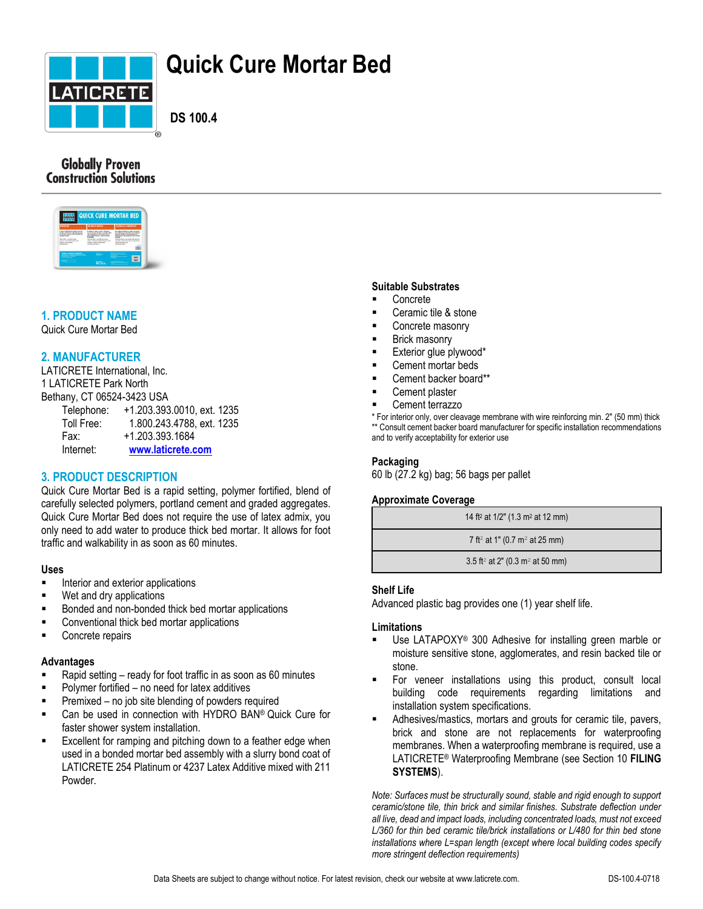

# **Quick Cure Mortar Bed**

 **DS 100.4**

# **Globally Proven Construction Solutions**



# **1. PRODUCT NAME**

Quick Cure Mortar Bed

# **2. MANUFACTURER**

LATICRETE International, Inc. 1 LATICRETE Park North Bethany, CT 06524-3423 USA

| Telephone: | +1.203.393.0010, ext. 1235 |
|------------|----------------------------|
| Toll Free: | 1.800.243.4788, ext. 1235  |
| Fax:       | +1.203.393.1684            |
| Internet:  | www.laticrete.com          |

# **3. PRODUCT DESCRIPTION**

Quick Cure Mortar Bed is a rapid setting, polymer fortified, blend of carefully selected polymers, portland cement and graded aggregates. Quick Cure Mortar Bed does not require the use of latex admix, you only need to add water to produce thick bed mortar. It allows for foot traffic and walkability in as soon as 60 minutes.

#### **Uses**

- **Interior and exterior applications**
- Wet and dry applications
- Bonded and non-bonded thick bed mortar applications
- Conventional thick bed mortar applications
- **Concrete repairs**

# **Advantages**

- Rapid setting ready for foot traffic in as soon as 60 minutes
- Polymer fortified no need for latex additives
- Premixed no job site blending of powders required
- **Can be used in connection with HYDRO BAN® Quick Cure for** faster shower system installation.
- **Excellent for ramping and pitching down to a feather edge when** used in a bonded mortar bed assembly with a slurry bond coat of LATICRETE 254 Platinum or 4237 Latex Additive mixed with 211 Powder.

#### **Suitable Substrates**

- Concrete
- Ceramic tile & stone
- Concrete masonry
- Brick masonry
- Exterior glue plywood\*
- Cement mortar beds
- Cement backer board\*\*
- Cement plaster
- Cement terrazzo

\* For interior only, over cleavage membrane with wire reinforcing min. 2" (50 mm) thick \*\* Consult cement backer board manufacturer for specific installation recommendations and to verify acceptability for exterior use

#### **Packaging**

60 lb (27.2 kg) bag; 56 bags per pallet

#### **Approximate Coverage**

| 14 ft <sup>2</sup> at $1/2$ " (1.3 m <sup>2</sup> at 12 mm) |
|-------------------------------------------------------------|
| 7 ft <sup>2</sup> at 1" (0.7 m <sup>2</sup> at 25 mm)       |
| 3.5 ft <sup>2</sup> at 2" (0.3 m <sup>2</sup> at 50 mm)     |

#### **Shelf Life**

Advanced plastic bag provides one (1) year shelf life.

#### **Limitations**

- Use LATAPOXY® 300 Adhesive for installing green marble or moisture sensitive stone, agglomerates, and resin backed tile or stone.
- For veneer installations using this product, consult local building code requirements regarding limitations and installation system specifications.
- Adhesives/mastics, mortars and grouts for ceramic tile, pavers, brick and stone are not replacements for waterproofing membranes. When a waterproofing membrane is required, use a LATICRETE® Waterproofing Membrane (see Section 10 **FILING SYSTEMS**).

*Note: Surfaces must be structurally sound, stable and rigid enough to support ceramic/stone tile, thin brick and similar finishes. Substrate deflection under all live, dead and impact loads, including concentrated loads, must not exceed*  L/360 for thin bed ceramic tile/brick installations or L/480 for thin bed stone *installations where L=span length (except where local building codes specify more stringent deflection requirements)*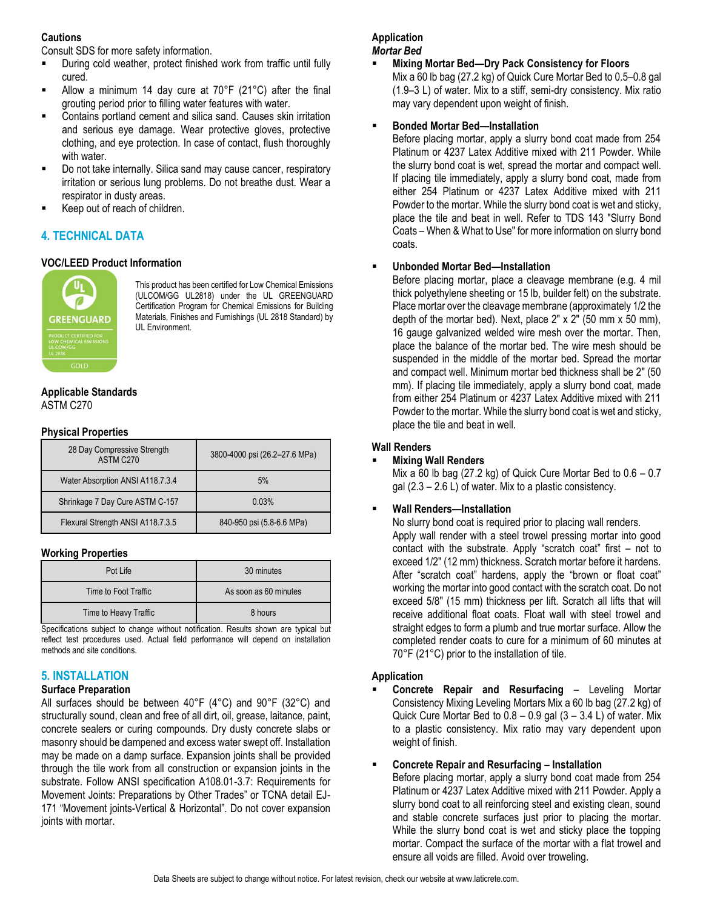# **Cautions**

Consult SDS for more safety information.

- During cold weather, protect finished work from traffic until fully cured.
- Allow a minimum 14 day cure at 70°F (21°C) after the final grouting period prior to filling water features with water.
- Contains portland cement and silica sand. Causes skin irritation and serious eye damage. Wear protective gloves, protective clothing, and eye protection. In case of contact, flush thoroughly with water.
- Do not take internally. Silica sand may cause cancer, respiratory irritation or serious lung problems. Do not breathe dust. Wear a respirator in dusty areas.
- Keep out of reach of children.

# **4. TECHNICAL DATA**

# **VOC/LEED Product Information**



This product has been certified for Low Chemical Emissions (ULCOM/GG UL2818) under the UL GREENGUARD Certification Program for Chemical Emissions for Building Materials, Finishes and Furnishings (UL 2818 Standard) by UL Environment.

#### **Applicable Standards** ASTM C270

#### **Physical Properties**

| 28 Day Compressive Strength<br>ASTM C270 | 3800-4000 psi (26.2-27.6 MPa) |
|------------------------------------------|-------------------------------|
| Water Absorption ANSI A118.7.3.4         | 5%                            |
| Shrinkage 7 Day Cure ASTM C-157          | 0.03%                         |
| Flexural Strength ANSI A118.7.3.5        | 840-950 psi (5.8-6.6 MPa)     |

# **Working Properties**

| Pot Life              | 30 minutes            |
|-----------------------|-----------------------|
| Time to Foot Traffic  | As soon as 60 minutes |
| Time to Heavy Traffic | 8 hours               |

Specifications subject to change without notification. Results shown are typical but reflect test procedures used. Actual field performance will depend on installation methods and site conditions.

# **5. INSTALLATION**

# **Surface Preparation**

All surfaces should be between 40°F (4°C) and 90°F (32°C) and structurally sound, clean and free of all dirt, oil, grease, laitance, paint, concrete sealers or curing compounds. Dry dusty concrete slabs or masonry should be dampened and excess water swept off. Installation may be made on a damp surface. Expansion joints shall be provided through the tile work from all construction or expansion joints in the substrate. Follow ANSI specification A108.01-3.7: Requirements for Movement Joints: Preparations by Other Trades" or TCNA detail EJ-171 "Movement joints-Vertical & Horizontal". Do not cover expansion joints with mortar.

#### **Application** *Mortar Bed*

#### **Mixing Mortar Bed—Dry Pack Consistency for Floors**  Mix a 60 lb bag (27.2 kg) of Quick Cure Mortar Bed to 0.5–0.8 gal (1.9–3 L) of water. Mix to a stiff, semi-dry consistency. Mix ratio may vary dependent upon weight of finish.

# **Bonded Mortar Bed—Installation**

Before placing mortar, apply a slurry bond coat made from 254 Platinum or 4237 Latex Additive mixed with 211 Powder. While the slurry bond coat is wet, spread the mortar and compact well. If placing tile immediately, apply a slurry bond coat, made from either 254 Platinum or 4237 Latex Additive mixed with 211 Powder to the mortar. While the slurry bond coat is wet and sticky, place the tile and beat in well. Refer to TDS 143 "Slurry Bond Coats – When & What to Use" for more information on slurry bond coats.

# **Unbonded Mortar Bed—Installation**

Before placing mortar, place a cleavage membrane (e.g. 4 mil thick polyethylene sheeting or 15 lb, builder felt) on the substrate. Place mortar over the cleavage membrane (approximately 1/2 the depth of the mortar bed). Next, place  $2" \times 2"$  (50 mm  $\times$  50 mm), 16 gauge galvanized welded wire mesh over the mortar. Then, place the balance of the mortar bed. The wire mesh should be suspended in the middle of the mortar bed. Spread the mortar and compact well. Minimum mortar bed thickness shall be 2" (50 mm). If placing tile immediately, apply a slurry bond coat, made from either 254 Platinum or 4237 Latex Additive mixed with 211 Powder to the mortar. While the slurry bond coat is wet and sticky, place the tile and beat in well.

# **Wall Renders**

# **Mixing Wall Renders**

Mix a 60 lb bag (27.2 kg) of Quick Cure Mortar Bed to 0.6 – 0.7 gal (2.3 – 2.6 L) of water. Mix to a plastic consistency.

# **Wall Renders—Installation**

No slurry bond coat is required prior to placing wall renders. Apply wall render with a steel trowel pressing mortar into good contact with the substrate. Apply "scratch coat" first – not to exceed 1/2" (12 mm) thickness. Scratch mortar before it hardens. After "scratch coat" hardens, apply the "brown or float coat" working the mortar into good contact with the scratch coat. Do not exceed 5/8" (15 mm) thickness per lift. Scratch all lifts that will receive additional float coats. Float wall with steel trowel and straight edges to form a plumb and true mortar surface. Allow the completed render coats to cure for a minimum of 60 minutes at 70°F (21°C) prior to the installation of tile.

# **Application**

 **Concrete Repair and Resurfacing** – Leveling Mortar Consistency Mixing Leveling Mortars Mix a 60 lb bag (27.2 kg) of Quick Cure Mortar Bed to  $0.8 - 0.9$  gal  $(3 - 3.4 \text{ L})$  of water. Mix to a plastic consistency. Mix ratio may vary dependent upon weight of finish.

# **Concrete Repair and Resurfacing – Installation**

Before placing mortar, apply a slurry bond coat made from 254 Platinum or 4237 Latex Additive mixed with 211 Powder. Apply a slurry bond coat to all reinforcing steel and existing clean, sound and stable concrete surfaces just prior to placing the mortar. While the slurry bond coat is wet and sticky place the topping mortar. Compact the surface of the mortar with a flat trowel and ensure all voids are filled. Avoid over troweling.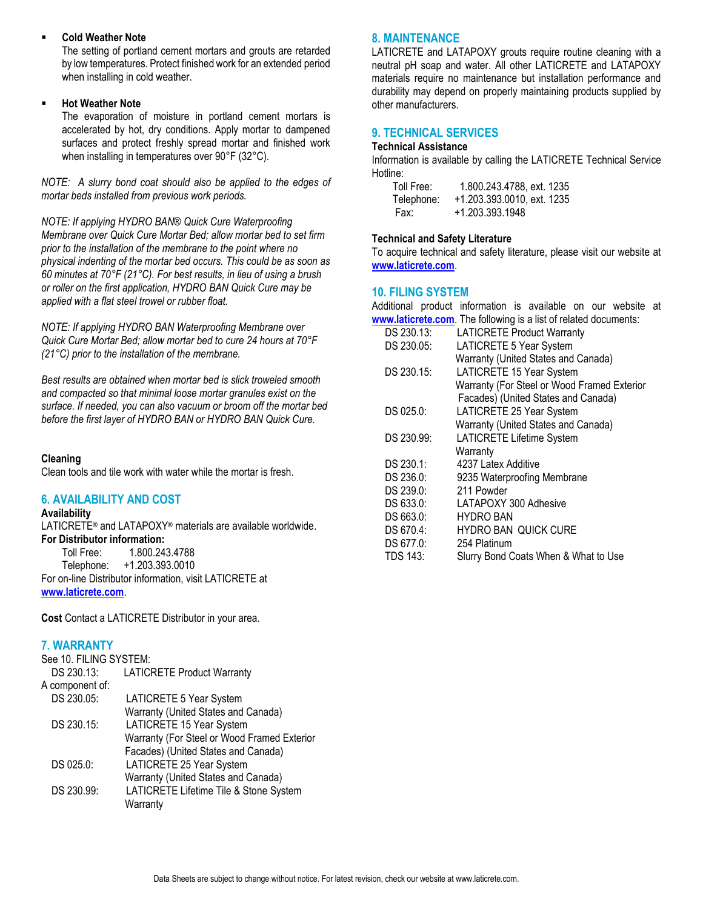#### **Cold Weather Note**

The setting of portland cement mortars and grouts are retarded by low temperatures. Protect finished work for an extended period when installing in cold weather.

#### **Hot Weather Note**

The evaporation of moisture in portland cement mortars is accelerated by hot, dry conditions. Apply mortar to dampened surfaces and protect freshly spread mortar and finished work when installing in temperatures over 90°F (32°C).

*NOTE: A slurry bond coat should also be applied to the edges of mortar beds installed from previous work periods.*

*NOTE: If applying HYDRO BAN® Quick Cure Waterproofing Membrane over Quick Cure Mortar Bed; allow mortar bed to set firm prior to the installation of the membrane to the point where no physical indenting of the mortar bed occurs. This could be as soon as 60 minutes at 70°F (21°C). For best results, in lieu of using a brush or roller on the first application, HYDRO BAN Quick Cure may be applied with a flat steel trowel or rubber float.*

*NOTE: If applying HYDRO BAN Waterproofing Membrane over Quick Cure Mortar Bed; allow mortar bed to cure 24 hours at 70°F (21°C) prior to the installation of the membrane.* 

*Best results are obtained when mortar bed is slick troweled smooth and compacted so that minimal loose mortar granules exist on the surface. If needed, you can also vacuum or broom off the mortar bed before the first layer of HYDRO BAN or HYDRO BAN Quick Cure.*

#### **Cleaning**

Clean tools and tile work with water while the mortar is fresh.

#### **6. AVAILABILITY AND COST**

#### **Availability**

LATICRETE® and LATAPOXY® materials are available worldwide. **For Distributor information:** Toll Free: 1.800.243.4788

Telephone: +1.203.393.0010 For on-line Distributor information, visit LATICRETE at **[www.laticrete.com](http://www.laticrete.com/)**.

**Cost** Contact a LATICRETE Distributor in your area.

# **7. WARRANTY**

| See 10. FILING SYSTEM:                      |  |  |
|---------------------------------------------|--|--|
| <b>LATICRETE Product Warranty</b>           |  |  |
|                                             |  |  |
| LATICRETE 5 Year System                     |  |  |
| Warranty (United States and Canada)         |  |  |
| LATICRETE 15 Year System                    |  |  |
| Warranty (For Steel or Wood Framed Exterior |  |  |
| Facades) (United States and Canada)         |  |  |
| LATICRETE 25 Year System                    |  |  |
| Warranty (United States and Canada)         |  |  |
| LATICRETE Lifetime Tile & Stone System      |  |  |
| Warranty                                    |  |  |
|                                             |  |  |

# **8. MAINTENANCE**

LATICRETE and LATAPOXY grouts require routine cleaning with a neutral pH soap and water. All other LATICRETE and LATAPOXY materials require no maintenance but installation performance and durability may depend on properly maintaining products supplied by other manufacturers.

# **9. TECHNICAL SERVICES**

#### **Technical Assistance**

Information is available by calling the LATICRETE Technical Service Hotline:

| Toll Free: | 1.800.243.4788, ext. 1235  |
|------------|----------------------------|
| Telephone: | +1.203.393.0010, ext. 1235 |
| Fax:       | +1.203.393.1948            |

#### **Technical and Safety Literature**

To acquire technical and safety literature, please visit our website at **[www.laticrete.com](http://www.laticrete.com/)**.

#### **10. FILING SYSTEM**

|                 | Additional product information is available on our website at<br>www.laticrete.com. The following is a list of related documents: |
|-----------------|-----------------------------------------------------------------------------------------------------------------------------------|
| DS 230.13:      | <b>LATICRETE Product Warranty</b>                                                                                                 |
| DS 230.05:      | LATICRETE 5 Year System                                                                                                           |
|                 | Warranty (United States and Canada)                                                                                               |
| DS 230.15:      | LATICRETE 15 Year System                                                                                                          |
|                 | Warranty (For Steel or Wood Framed Exterior                                                                                       |
|                 | Facades) (United States and Canada)                                                                                               |
| DS 025.0:       | LATICRETE 25 Year System                                                                                                          |
|                 | Warranty (United States and Canada)                                                                                               |
| DS 230.99:      | <b>LATICRETE Lifetime System</b>                                                                                                  |
|                 | Warranty                                                                                                                          |
| DS 230.1:       | 4237 Latex Additive                                                                                                               |
| DS 236.0:       | 9235 Waterproofing Membrane                                                                                                       |
| DS 239.0:       | 211 Powder                                                                                                                        |
| DS 633.0:       | LATAPOXY 300 Adhesive                                                                                                             |
| DS 663.0:       | <b>HYDRO BAN</b>                                                                                                                  |
| DS 670.4:       | <b>HYDRO BAN QUICK CURE</b>                                                                                                       |
| DS 677.0:       | 254 Platinum                                                                                                                      |
| <b>TDS 143:</b> | Slurry Bond Coats When & What to Use                                                                                              |